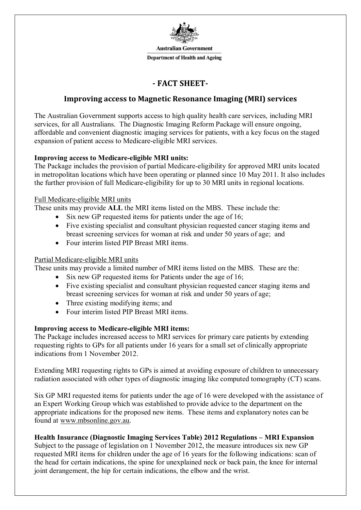

**Australian Government** 

**Department of Health and Ageing** 

# **- FACT SHEET-**

# **Improving access to Magnetic Resonance Imaging (MRI) services**

The Australian Government supports access to high quality health care services, including MRI services, for all Australians. The Diagnostic Imaging Reform Package will ensure ongoing, affordable and convenient diagnostic imaging services for patients, with a key focus on the staged expansion of patient access to Medicare-eligible MRI services.

### **Improving access to Medicare-eligible MRI units:**

The Package includes the provision of partial Medicare-eligibility for approved MRI units located in metropolitan locations which have been operating or planned since 10 May 2011. It also includes the further provision of full Medicare-eligibility for up to 30 MRI units in regional locations.

### Full Medicare-eligible MRI units

These units may provide **ALL** the MRI items listed on the MBS. These include the:

- $\bullet$  Six new GP requested items for patients under the age of 16;
- Five existing specialist and consultant physician requested cancer staging items and breast screening services for woman at risk and under 50 years of age; and
- Four interim listed PIP Breast MRI items.

### Partial Medicare-eligible MRI units

These units may provide a limited number of MRI items listed on the MBS. These are the:

- Six new GP requested items for Patients under the age of 16;
- Five existing specialist and consultant physician requested cancer staging items and breast screening services for woman at risk and under 50 years of age;
- Three existing modifying items; and
- Four interim listed PIP Breast MRI items.

## **Improving access to Medicare-eligible MRI items:**

The Package includes increased access to MRI services for primary care patients by extending requesting rights to GPs for all patients under 16 years for a small set of clinically appropriate indications from 1 November 2012.

Extending MRI requesting rights to GPs is aimed at avoiding exposure of children to unnecessary radiation associated with other types of diagnostic imaging like computed tomography (CT) scans.

Six GP MRI requested items for patients under the age of 16 were developed with the assistance of an Expert Working Group which was established to provide advice to the department on the appropriate indications for the proposed new items. These items and explanatory notes can be found at www.mbsonline.gov.au.

## **Health Insurance (Diagnostic Imaging Services Table) 2012 Regulations – MRI Expansion**

Subject to the passage of legislation on 1 November 2012, the measure introduces six new GP requested MRI items for children under the age of 16 years for the following indications: scan of the head for certain indications, the spine for unexplained neck or back pain, the knee for internal joint derangement, the hip for certain indications, the elbow and the wrist.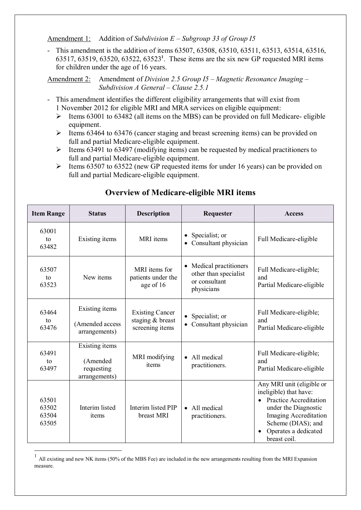Amendment 1: Addition of *Subdivision E – Subgroup 33 of Group I5*

- This amendment is the addition of items 63507, 63508, 63510, 63511, 63513, 63514, 63516, 63517, 63519, 63520, 63522, 63523**<sup>1</sup>** . These items are the six new GP requested MRI items for children under the age of 16 years.

Amendment 2: Amendment of *Division 2.5 Group I5 – Magnetic Resonance Imaging – Subdivision A General – Clause 2.5.1* 

- This amendment identifies the different eligibility arrangements that will exist from 1 November 2012 for eligible MRI and MRA services on eligible equipment:
	- $\triangleright$  Items 63001 to 63482 (all items on the MBS) can be provided on full Medicare- eligible equipment.
	- $\geq$  Items 63464 to 63476 (cancer staging and breast screening items) can be provided on full and partial Medicare-eligible equipment.
	- $\triangleright$  Items 63491 to 63497 (modifying items) can be requested by medical practitioners to full and partial Medicare-eligible equipment.
	- $\geq$  Items 63507 to 63522 (new GP requested items for under 16 years) can be provided on full and partial Medicare-eligible equipment.

| <b>Item Range</b>                | <b>Status</b>                                             | <b>Description</b>                                            | Requester                                                                                  | <b>Access</b>                                                                                                                                                                                                           |
|----------------------------------|-----------------------------------------------------------|---------------------------------------------------------------|--------------------------------------------------------------------------------------------|-------------------------------------------------------------------------------------------------------------------------------------------------------------------------------------------------------------------------|
| 63001<br>to<br>63482             | Existing items                                            | MRI items                                                     | Specialist; or<br>Consultant physician                                                     | Full Medicare-eligible                                                                                                                                                                                                  |
| 63507<br>to<br>63523             | New items                                                 | MRI items for<br>patients under the<br>age of 16              | Medical practitioners<br>$\bullet$<br>other than specialist<br>or consultant<br>physicians | Full Medicare-eligible;<br>and<br>Partial Medicare-eligible                                                                                                                                                             |
| 63464<br>to<br>63476             | Existing items<br>(Amended access<br>arrangements)        | <b>Existing Cancer</b><br>staging & breast<br>screening items | Specialist; or<br>Consultant physician                                                     | Full Medicare-eligible;<br>and<br>Partial Medicare-eligible                                                                                                                                                             |
| 63491<br>to<br>63497             | Existing items<br>(Amended<br>requesting<br>arrangements) | MRI modifying<br>items                                        | All medical<br>practitioners.                                                              | Full Medicare-eligible;<br>and<br>Partial Medicare-eligible                                                                                                                                                             |
| 63501<br>63502<br>63504<br>63505 | Interim listed<br>items                                   | Interim listed PIP<br>breast MRI                              | All medical<br>$\bullet$<br>practitioners.                                                 | Any MRI unit (eligible or<br>ineligible) that have:<br><b>Practice Accreditation</b><br>$\bullet$<br>under the Diagnostic<br><b>Imaging Accreditation</b><br>Scheme (DIAS); and<br>Operates a dedicated<br>breast coil. |

# **Overview of Medicare-eligible MRI items**

 $\overline{a}$ 

 $1$  All existing and new NK items (50% of the MBS Fee) are included in the new arrangements resulting from the MRI Expansion measure.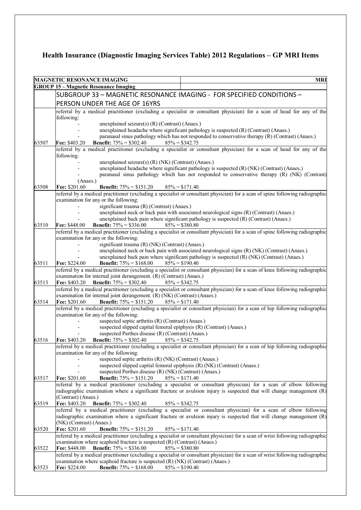# **Health Insurance (Diagnostic Imaging Services Table) 2012 Regulations – GP MRI Items**

|       | <b>MRI</b><br>MAGNETIC RESONANCE IMAGING                                                                                                                                                                |  |  |  |
|-------|---------------------------------------------------------------------------------------------------------------------------------------------------------------------------------------------------------|--|--|--|
|       | <b>GROUP 15 - Magnetic Resonance Imaging</b>                                                                                                                                                            |  |  |  |
|       | SUBGROUP 33 - MAGNETIC RESONANCE IMAGING - FOR SPECIFIED CONDITIONS -                                                                                                                                   |  |  |  |
|       | PERSON UNDER THE AGE OF 16YRS                                                                                                                                                                           |  |  |  |
|       | referral by a medical practitioner (excluding a specialist or consultant physician) for a scan of head for any of the<br>following:                                                                     |  |  |  |
|       | unexplained seizure(s) $(R)$ (Contrast) (Anaes.)                                                                                                                                                        |  |  |  |
|       | unexplained headache where significant pathology is suspected (R) (Contrast) (Anaes.)                                                                                                                   |  |  |  |
|       | paranasal sinus pathology which has not responded to conservative therapy (R) (Contrast) (Anaes.)                                                                                                       |  |  |  |
| 63507 | <b>Fee: \$403.20</b><br><b>Benefit:</b> $75\% = $302.40$ $85\% = $342.75$<br>referral by a medical practitioner (excluding a specialist or consultant physician) for a scan of head for any of the      |  |  |  |
|       | following:                                                                                                                                                                                              |  |  |  |
|       | unexplained seizure(s) (R) (NK) (Contrast) (Anaes.)                                                                                                                                                     |  |  |  |
|       | unexplained headache where significant pathology is suspected (R) (NK) (Contrast) (Anaes.)                                                                                                              |  |  |  |
|       | paranasal sinus pathology which has not responded to conservative therapy (R) (NK) (Contrast)                                                                                                           |  |  |  |
|       | (Anaes.)                                                                                                                                                                                                |  |  |  |
| 63508 | Fee: \$201.60<br><b>Benefit:</b> $75\% = $151.20$<br>$85\% = $171.40$<br>referral by a medical practitioner (excluding a specialist or consultant physician) for a scan of spine following radiographic |  |  |  |
|       | examination for any or the following:                                                                                                                                                                   |  |  |  |
|       | significant trauma (R) (Contrast) (Anaes.)                                                                                                                                                              |  |  |  |
|       | unexplained neck or back pain with associated neurological signs (R) (Contrast) (Anaes.)                                                                                                                |  |  |  |
|       | unexplained back pain where significant pathology is suspected (R) (Contrast) (Anaes.)                                                                                                                  |  |  |  |
| 63510 | $85\% = $380.80$<br><b>Fee: \$448.00</b><br><b>Benefit:</b> $75\% = $336.00$                                                                                                                            |  |  |  |
|       | referral by a medical practitioner (excluding a specialist or consultant physician) for a scan of spine following radiographic<br>examination for any or the following:                                 |  |  |  |
|       | significant trauma (R) (NK) (Contrast) (Anaes.)                                                                                                                                                         |  |  |  |
|       | unexplained neck or back pain with associated neurological signs (R) (NK) (Contrast) (Anaes.)                                                                                                           |  |  |  |
|       | unexplained back pain where significant pathology is suspected $(R)$ (NK) (Contrast) (Anaes.)                                                                                                           |  |  |  |
| 63511 | <b>Benefit:</b> $75\% = $168.00$<br>$85\% = $190.40$<br><b>Fee: \$224.00</b>                                                                                                                            |  |  |  |
|       | referral by a medical practitioner (excluding a specialist or consultant physician) for a scan of knee following radiographic                                                                           |  |  |  |
| 63513 | examination for internal joint derangement. (R) (Contrast) (Anaes.)<br>Fee: $$403.20$ Benefit: $75\% = $302.40$<br>$85\% = $342.75$                                                                     |  |  |  |
|       | referral by a medical practitioner (excluding a specialist or consultant physician) for a scan of knee following radiographic                                                                           |  |  |  |
|       | examination for internal joint derangement. (R) (NK) (Contrast) (Anaes.)                                                                                                                                |  |  |  |
| 63514 | <b>Benefit:</b> $75\% = $151.20$ $85\% = $171.40$<br><b>Fee: \$201.60</b>                                                                                                                               |  |  |  |
|       | referral by a medical practitioner (excluding a specialist or consultant physician) for a scan of hip following radiographic                                                                            |  |  |  |
|       | examination for any of the following:<br>suspected septic arthritis (R) (Contrast) (Anaes.)                                                                                                             |  |  |  |
|       | suspected slipped capital femoral epiphysis (R) (Contrast) (Anaes.)                                                                                                                                     |  |  |  |
|       | suspected Perthes disease (R) (Contrast) (Anaes.)                                                                                                                                                       |  |  |  |
| 63516 | <b>Fee: \$403.20</b><br><b>Benefit:</b> $75\% = $302.40$ 85% = \$342.75                                                                                                                                 |  |  |  |
|       | referral by a medical practitioner (excluding a specialist or consultant physician) for a scan of hip following radiographic<br>examination for any of the following:                                   |  |  |  |
|       | suspected septic arthritis (R) (NK) (Contrast) (Anaes.)                                                                                                                                                 |  |  |  |
|       | suspected slipped capital femoral epiphysis (R) (NK) (Contrast) (Anaes.)                                                                                                                                |  |  |  |
|       | suspected Perthes disease (R) (NK) (Contrast) (Anaes.)                                                                                                                                                  |  |  |  |
| 63517 | Fee: \$201.60<br><b>Benefit:</b> $75\% = $151.20$<br>$85\% = $171.40$                                                                                                                                   |  |  |  |
|       | referral by a medical practitioner (excluding a specialist or consultant physician) for a scan of elbow following                                                                                       |  |  |  |
|       | radiographic examination where a significant fracture or avulsion injury is suspected that will change management (R)<br>(Contrast) (Anaes.)                                                            |  |  |  |
| 63519 | Fee: \$403.20<br><b>Benefit:</b> $75\% = $302.40$<br>$85\% = $342.75$                                                                                                                                   |  |  |  |
|       | referral by a medical practitioner (excluding a specialist or consultant physician) for a scan of elbow following                                                                                       |  |  |  |
|       | radiographic examination where a significant fracture or avulsion injury is suspected that will change management (R)                                                                                   |  |  |  |
|       | (NK) (Contrast) (Anaes.)                                                                                                                                                                                |  |  |  |
| 63520 | Fee: \$201.60<br><b>Benefit:</b> $75\% = $151.20$<br>$85\% = $171.40$<br>referral by a medical practitioner (excluding a specialist or consultant physician) for a scan of wrist following radiographic |  |  |  |
|       | examination where scaphoid fracture is suspected (R) (Contrast) (Anaes.)                                                                                                                                |  |  |  |
| 63522 | Fee: \$448.00<br><b>Benefit:</b> $75\% = $336.00$<br>$85\% = $380.80$                                                                                                                                   |  |  |  |
|       | referral by a medical practitioner (excluding a specialist or consultant physician) for a scan of wrist following radiographic                                                                          |  |  |  |
|       | examination where scaphoid fracture is suspected (R) (NK) (Contrast) (Anaes.)                                                                                                                           |  |  |  |
| 63523 | Fee: \$224.00<br><b>Benefit:</b> $75\% = $168.00$<br>$85\% = $190.40$                                                                                                                                   |  |  |  |